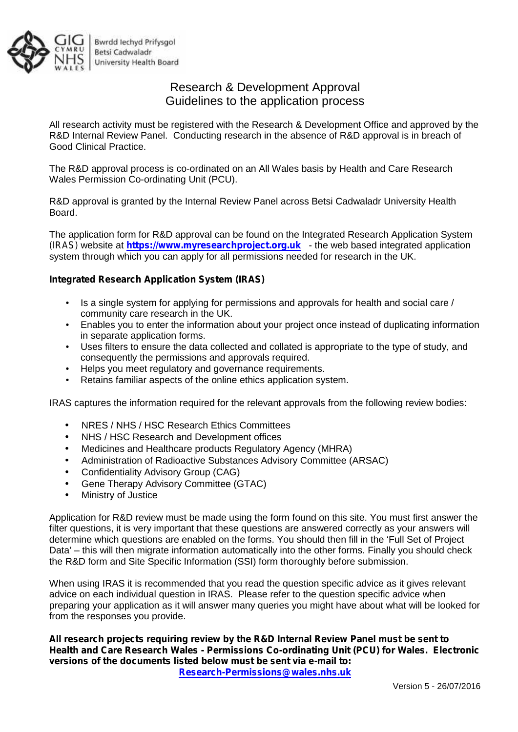

# Research & Development Approval Guidelines to the application process

All research activity must be registered with the Research & Development Office and approved by the R&D Internal Review Panel. Conducting research in the absence of R&D approval is in breach of Good Clinical Practice.

The R&D approval process is co-ordinated on an All Wales basis by Health and Care Research Wales Permission Co-ordinating Unit (PCU).

R&D approval is granted by the Internal Review Panel across Betsi Cadwaladr University Health Board.

The application form for R&D approval can be found on the Integrated Research Application System *(IRAS)* website at **https://www.myresearchproject.org.uk** - the web based integrated application system through which you can apply for all permissions needed for research in the UK.

## **Integrated Research Application System (IRAS)**

- Is a single system for applying for permissions and approvals for health and social care  $/$ community care research in the UK.
- Enables you to enter the information about your project once instead of duplicating information in separate application forms.
- Uses filters to ensure the data collected and collated is appropriate to the type of study, and consequently the permissions and approvals required.
- Helps you meet regulatory and governance requirements.
- Retains familiar aspects of the online ethics application system.

IRAS captures the information required for the relevant approvals from the following review bodies:

- NRES / NHS / HSC Research Ethics Committees
- NHS / HSC Research and Development offices
- Medicines and Healthcare products Regulatory Agency (MHRA)
- Administration of Radioactive Substances Advisory Committee (ARSAC)
- Confidentiality Advisory Group (CAG)
- Gene Therapy Advisory Committee (GTAC)
- Ministry of Justice

Application for R&D review must be made using the form found on this site. You must first answer the filter questions, it is very important that these questions are answered correctly as your answers will determine which questions are enabled on the forms. You should then fill in the 'Full Set of Project Data' – this will then migrate information automatically into the other forms. Finally you should check the R&D form and Site Specific Information (SSI) form thoroughly before submission.

When using IRAS it is recommended that you read the question specific advice as it gives relevant advice on each individual question in IRAS. Please refer to the question specific advice when preparing your application as it will answer many queries you might have about what will be looked for from the responses you provide.

**All research projects requiring review by the R&D Internal Review Panel must be sent to Health and Care Research Wales - Permissions Co-ordinating Unit (PCU) for Wales. Electronic versions of the documents listed below must be sent via e-mail to: Research-Permissions@wales.nhs.uk**

Version 5 - 26/07/2016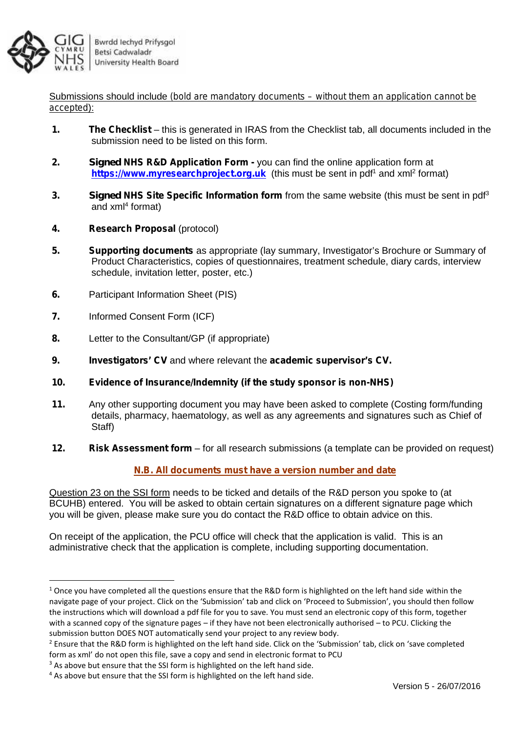

Submissions should include *(bold are mandatory documents – without them an application cannot be accepted*):

- **1. The Checklist** this is generated in IRAS from the Checklist tab, all documents included in the submission need to be listed on this form.
- **2.** *Signed* **NHS R&D Application Form -** you can find the online application form at **https://www.myresearchproject.org.uk** (this must be sent in pdf<sup>1</sup> and xml<sup>2</sup> format)
- **3.** *Signed* **NHS Site Specific Information form** from the same website (this must be sent in pdf<sup>3</sup> and xml<sup>4</sup> format)
- **4. Research Proposal** (protocol)
- **5. Supporting documents** as appropriate (lay summary, Investigator's Brochure or Summary of Product Characteristics, copies of questionnaires, treatment schedule, diary cards, interview schedule, invitation letter, poster, etc.)
- **6.** Participant Information Sheet (PIS)
- **7.** Informed Consent Form (ICF)
- **8.** Letter to the Consultant/GP (if appropriate)
- **9. Investigators' CV** and where relevant the **academic supervisor's CV.**
- **10. Evidence of Insurance/Indemnity (if the study sponsor is non-NHS)**
- **11.** Any other supporting document you may have been asked to complete (Costing form/funding details, pharmacy, haematology, as well as any agreements and signatures such as Chief of Staff)
- **12. Risk Assessment form** for all research submissions (a template can be provided on request)

### **N.B. All documents must have a version number and date**

Question 23 on the SSI form needs to be ticked and details of the R&D person you spoke to (at BCUHB) entered. You will be asked to obtain certain signatures on a different signature page which you will be given, please make sure you do contact the R&D office to obtain advice on this.

On receipt of the application, the PCU office will check that the application is valid. This is an administrative check that the application is complete, including supporting documentation.

<sup>&</sup>lt;sup>1</sup> Once you have completed all the questions ensure that the R&D form is highlighted on the left hand side within the navigate page of your project. Click on the 'Submission' tab and click on 'Proceed to Submission', you should then follow the instructions which will download a pdf file for you to save. You must send an electronic copy of this form, together with a scanned copy of the signature pages – if they have not been electronically authorised – to PCU. Clicking the submission button DOES NOT automatically send your project to any review body.

<sup>&</sup>lt;sup>2</sup> Ensure that the R&D form is highlighted on the left hand side. Click on the 'Submission' tab, click on 'save completed form as xml' do not open this file, save a copy and send in electronic format to PCU

<sup>&</sup>lt;sup>3</sup> As above but ensure that the SSI form is highlighted on the left hand side.

<sup>&</sup>lt;sup>4</sup> As above but ensure that the SSI form is highlighted on the left hand side.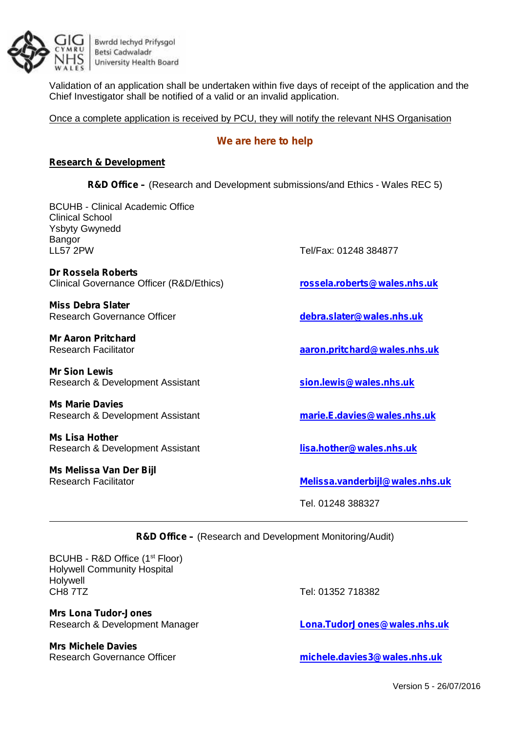

Bwrdd Iechyd Prifysgol Betsi Cadwaladr University Health Board

Validation of an application shall be undertaken within five days of receipt of the application and the Chief Investigator shall be notified of a valid or an invalid application.

Once a complete application is received by PCU, they will notify the relevant NHS Organisation

### **We are here to help**

#### **Research & Development**

**R&D Office –** (Research and Development submissions/and Ethics - Wales REC 5)

BCUHB - Clinical Academic Office Clinical School Ysbyty Gwynedd Bangor<br>LL57 2PW

**Dr Rossela Roberts** Clinical Governance Officer (R&D/Ethics) **rossela.roberts@wales.nhs.uk**

**Miss Debra Slater** Research Governance Officer **debra.slater@wales.nhs.uk** 

**Mr Aaron Pritchard**<br>Research Facilitator

**Mr Sion Lewis** Research & Development Assistant **sion.lewis@wales.nhs.uk**

**Ms Marie Davies**

**Ms Lisa Hother** Research & Development Assistant **lisa.hother@wales.nhs.uk**

**Ms Melissa Van Der Bijl**

Tel/Fax: 01248 384877

Research Facilitator **aaron.pritchard@wales.nhs.uk**

Research & Development Assistant **marie.E.davies@wales.nhs.uk**

Research Facilitator **Melissa.vanderbijl@wales.nhs.uk**

Tel. 01248 388327

**R&D Office –** (Research and Development Monitoring/Audit)

BCUHB - R&D Office (1<sup>st</sup> Floor) Holywell Community Hospital Holywell<br>CH8 7TZ

**Mrs Lona Tudor-Jones**

**Mrs Michele Davies**

Tel: 01352 718382

Research & Development Manager **Lona.TudorJones@wales.nhs.uk**

Research Governance Officer **michele.davies3@wales.nhs.uk**